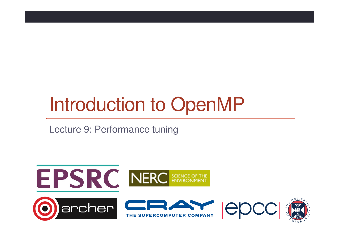# Introduction to OpenMP

Lecture 9: Performance tuning

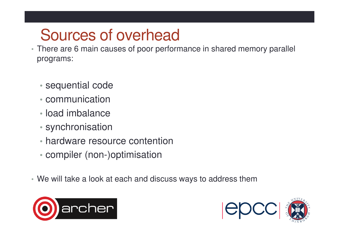## Sources of overhead

- There are 6 main causes of poor performance in shared memory parallel programs:
	- sequential code
	- communication
	- load imbalance
	- synchronisation
	- hardware resource contention
	- compiler (non-)optimisation
- We will take a look at each and discuss ways to address them



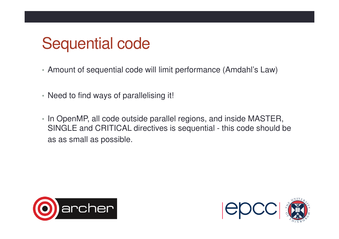#### Sequential code

- Amount of sequential code will limit performance (Amdahl's Law)
- Need to find ways of parallelising it!
- In OpenMP, all code outside parallel regions, and inside MASTER, SINGLE and CRITICAL directives is sequential - this code should be as as small as possible.



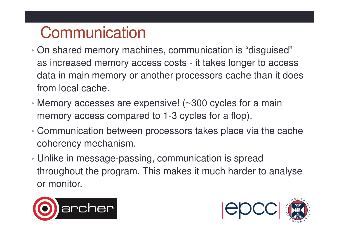# **Communication**

- $\bullet$  On shared memory mag On shared memory machines, communication is "disguised" as increased memory access costs - it takes longer to access data in main memory or another processors cache than it does from local cache.
- Memory accesses are expensive! (~300 cycles for a main memory access compared to 1-3 cycles for a flop).
- • Communication between processors takes place via the cache coherency mechanism.
- Unlike in message-passing, communication is spread throughout the program. This makes it much harder to analyse or monitor.



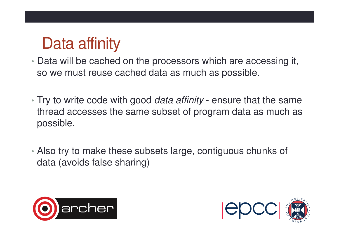# Data affinity

- Data will be cached on the processors which are accessing it, so we must reuse cached data as much as possible.
- Try to write code with good *data affinity* ensure that the same thread accesses the same subset of program data as much as possible.
- Also try to make these subsets large, contiguous chunks of data (avoids false sharing)



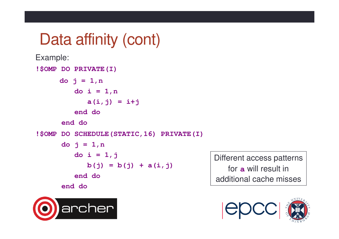## Data affinity (cont)

```
Example: !$OMP DO PRIVATE(I)do j = 1,n do i = 1,n a(i,j) = i+j end do end do !$OMP DO SCHEDULE(STATIC,16) PRIVATE(I)do j = 1,n do i = 1,j b(j) = b(j) + a(i, j)end doend do
```
Different access patterns for**a** will result in additional cache misses



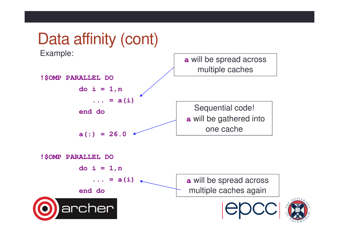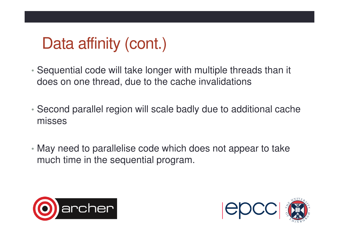# Data affinity (cont.)

- • Sequential code will take longer with multiple threads than it does on one thread, due to the cache invalidations
- • Second parallel region will scale badly due to additional cache misses
- May need to parallelise code which does not appear to take much time in the sequential program.



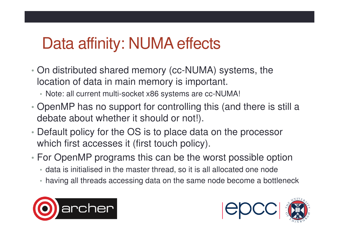## Data affinity: NUMA effects

- • On distributed shared memory (cc-NUMA) systems, thelocation of data in main memory is important.
	- Note: all current multi-socket x86 systems are cc-NUMA!
- • OpenMP has no support for controlling this (and there is still a debate about whether it should or not!).
- • Default policy for the OS is to place data on the processor which first accesses it (first touch policy).
- • For OpenMP programs this can be the worst possible option
	- data is initialised in the master thread, so it is all allocated one node
	- having all threads accessing data on the same node become a bottleneck



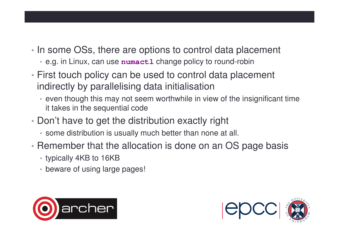- • In some OSs, there are options to control data placement
	- e.g. in Linux, can use **numactl** change policy to round-robin
- First touch policy can be used to control data placement indirectly by parallelising data initialisation
	- even though this may not seem worthwhile in view of the insignificant time it takes in the sequential code
- Don't have to get the distribution exactly right
	- some distribution is usually much better than none at all.
- • Remember that the allocation is done on an OS page basis
	- typically 4KB to 16KB
	- beware of using large pages!



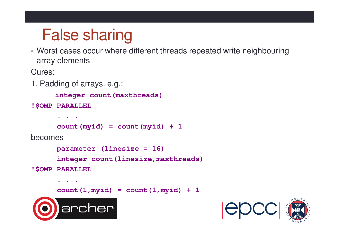# False sharing

 • Worst cases occur where different threads repeated write neighbouring array elements

Cures:

1. Padding of arrays. e.g.:

```
integer count(maxthreads)
```

```
!$OMP PARALLEL
```
**. . .**

```
count(myid) = count(myid) + 1
```
becomes

```
parameter (linesize = 16)
```

```
integer count(linesize,maxthreads)
```

```
!$OMP PARALLEL
```

```
. . . count(1,myid) = count(1,myid) + 1
```


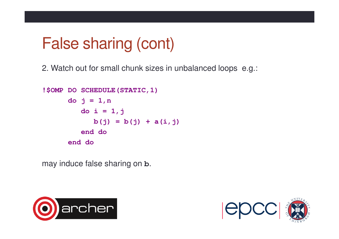## False sharing (cont)

2. Watch out for small chunk sizes in unbalanced loops e.g.:

```
!$OMP DO SCHEDULE(STATIC,1)do j = 1,n do i = 1,j b(j) = b(j) + a(i, j)end do end do
```
may induce false sharing on **b**.



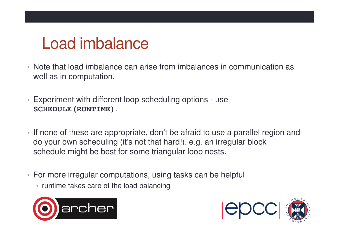## Load imbalance

- Note that load imbalance can arise from imbalances in communication as well as in computation.
- Experiment with different loop scheduling options use **SCHEDULE(RUNTIME)**.
- If none of these are appropriate, don't be afraid to use a parallel region and do your own scheduling (it's not that hard!). e.g. an irregular block schedule might be best for some triangular loop nests.
- For more irregular computations, using tasks can be helpful
	- runtime takes care of the load balancing



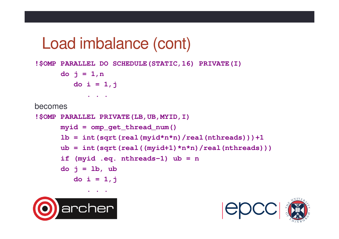#### Load imbalance (cont)

**!\$OMP PARALLEL DO SCHEDULE(STATIC,16) PRIVATE(I)**

```
do j = 1,n do i = 1,j. . .
```
becomes

```
!$OMP PARALLEL PRIVATE(LB,UB,MYID,I)myid = omp_get_thread_num()1b = int(sqrt(rcal(myid*n*n)/real(nthreads))) + 1ub = int(sqrt(real((myid+1)*n*n)/real(nthreads)))if (myid .eq. nthreads-1) ub = n d\circ j = lb, ub
         do i = 1,j
```


**. . .**

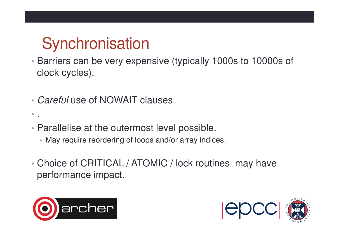# **Synchronisation**

- Barriers can be very expensive (typically 1000s to 10000s of clock cycles).
- •• Careful use of NOWAIT clauses
- Parallelise at the outermost level possible.
	- May require reordering of loops and/or array indices.
- • Choice of CRITICAL / ATOMIC / lock routines may have performance impact.



• .

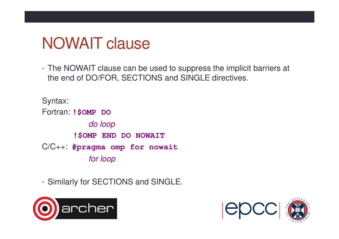## NOWAIT clause

• The NOWAIT clause can be used to suppress the implicit barriers at the end of DO/FOR, SECTIONS and SINGLE directives.

Syntax:Fortran: **!\$OMP DO**do loop**!\$OMP END DO NOWAIT** C/C++: **#pragma omp for nowait**for loop

• Similarly for SECTIONS and SINGLE.



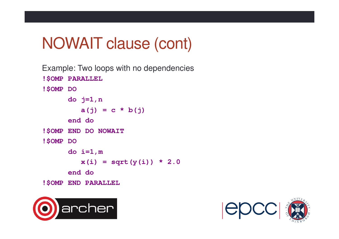## NOWAIT clause (cont)

```
Example: Two loops with no dependencies!$OMP PARALLEL !$OMP DO do j=1,n
a(j) = c * b(j)end do!$OMP END DO NOWAIT !$OMP DO 
do i=1,mx(i) = sqrt(y(i)) * 2.0end do !$OMP END PARALLEL
```


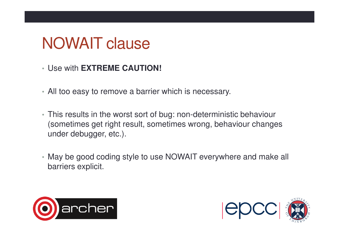## NOWAIT clause

- Use with **EXTREME CAUTION!**
- All too easy to remove a barrier which is necessary.
- This results in the worst sort of bug: non-deterministic behaviour (sometimes get right result, sometimes wrong, behaviour changes under debugger, etc.).
- May be good coding style to use NOWAIT everywhere and make all barriers explicit.



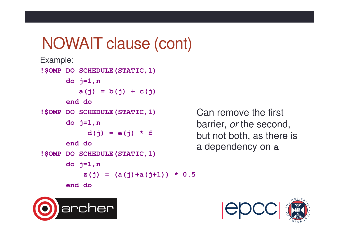#### NOWAIT clause (cont)

```
Example:!$OMP DO SCHEDULE(STATIC,1)do j=1,na(j) = b(j) + c(j) end do !$OMP DO SCHEDULE(STATIC,1)do j=1,nd(j) = e(j) * fend do !$OMP DO SCHEDULE(STATIC,1)do j=1,nz(j) = (a(j) + a(j+1)) * 0.5end do
```
Can remove the first barrier, *or* the second, but not both, as there is a dependency on **a**



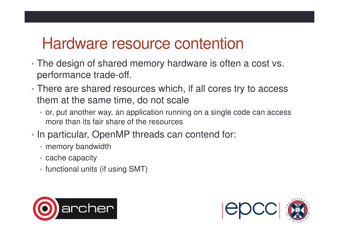#### Hardware resource contention

- The design of shared memory hardware is often a cost vs. performance trade-off.
- There are shared resources which, if all cores try to access them at the same time, do not scale
	- or, put another way, an application running on a single code can access more than its fair share of the resources
- • In particular, OpenMP threads can contend for:
	- memory bandwidth
	- cache capacity
	- functional units (if using SMT)



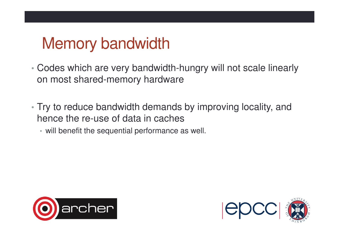# Memory bandwidth

- • Codes which are very bandwidth-hungry will not scale linearly on most shared-memory hardware
- Try to reduce bandwidth demands by improving locality, and hence the re-use of data in caches
	- will benefit the sequential performance as well.



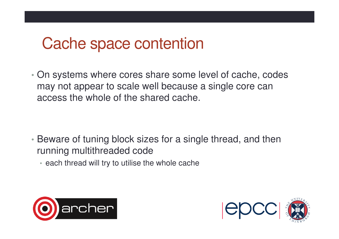#### Cache space contention

• On systems where cores share some level of cache, codes may not appear to scale well because a single core can access the whole of the shared cache.

- Beware of tuning block sizes for a single thread, and then running multithreaded code
	- each thread will try to utilise the whole cache



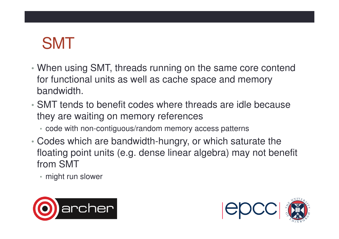# SMT

- • When using SMT, threads running on the same core contend for functional units as well as cache space and memory bandwidth.
- • SMT tends to benefit codes where threads are idle because they are waiting on memory references
	- code with non-contiguous/random memory access patterns
- • Codes which are bandwidth-hungry, or which saturate the floating point units (e.g. dense linear algebra) may not benefit from SMT
	- might run slower



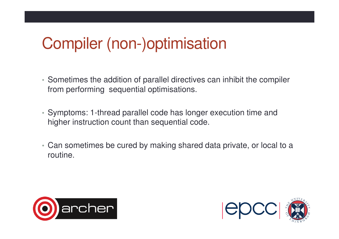## Compiler (non-)optimisation

- Sometimes the addition of parallel directives can inhibit the compiler from performing sequential optimisations.
- Symptoms: 1-thread parallel code has longer execution time and higher instruction count than sequential code.
- Can sometimes be cured by making shared data private, or local to a routine.



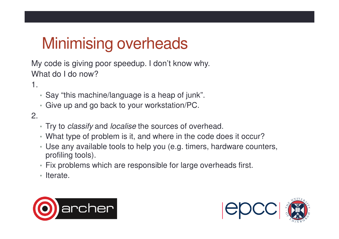# Minimising overheads

My code is giving poor speedup. I don't know why. What do I do now?

1.

- Say "this machine/language is a heap of junk".
- Give up and go back to your workstation/PC.

2.

- Try to *classify* and *localise* the sources of overhead.
- What type of problem is it, and where in the code does it occur?
- Use any available tools to help you (e.g. timers, hardware counters, profiling tools).
- Fix problems which are responsible for large overheads first.
- Iterate.